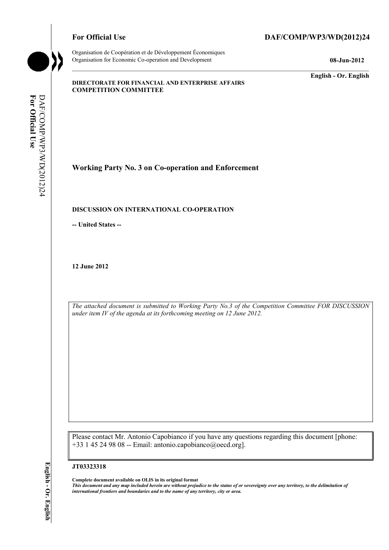Organisation de Coopération et de Développement Économiques Organisation for Economic Co-operation and Development **08-Jun-2012** 

# For Official Use DAF/COMP/WP3/WD(2012)24

**English - Or. English** 

#### **DIRECTORATE FOR FINANCIAL AND ENTERPRISE AFFAIRS COMPETITION COMMITTEE**

For Official Use **For Official Use**  DAF/COMP/WP3/WD(2012)24 DAF/COMP/WP3/WD(2012)24

**Working Party No. 3 on Co-operation and Enforcement** 

## **DISCUSSION ON INTERNATIONAL CO-OPERATION**

**-- United States --**

**12 June 2012** 

*The attached document is submitted to Working Party No.3 of the Competition Committee FOR DISCUSSION under item IV of the agenda at its forthcoming meeting on 12 June 2012.* 

Please contact Mr. Antonio Capobianco if you have any questions regarding this document [phone:  $+33$  1 45 24 98 08 -- Email: antonio.capobianco@oecd.org].

#### **JT03323318**

 **Complete document available on OLIS in its original format** 

 *This document and any map included herein are without prejudice to the status of or sovereignty over any territory, to the delimitation of international frontiers and boundaries and to the name of any territory, city or area.*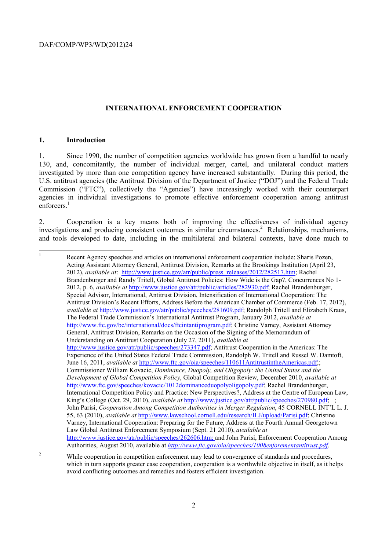#### **INTERNATIONAL ENFORCEMENT COOPERATION**

#### **1. Introduction**

 $\overline{a}$ 

 $\overline{2}$ 

enforcers.<sup>1</sup> 1. Since 1990, the number of competition agencies worldwide has grown from a handful to nearly 130, and, concomitantly, the number of individual merger, cartel, and unilateral conduct matters investigated by more than one competition agency have increased substantially. During this period, the U.S. antitrust agencies (the Antitrust Division of the Department of Justice ("DOJ") and the Federal Trade Commission ("FTC"), collectively the "Agencies") have increasingly worked with their counterpart agencies in individual investigations to promote effective enforcement cooperation among antitrust

2. Cooperation is a key means both of improving the effectiveness of individual agency investigations and producing consistent outcomes in similar circumstances.<sup>2</sup> Relationships, mechanisms, and tools developed to date, including in the multilateral and bilateral contexts, have done much to

 General, Antitrust Division, Remarks on the Occasion of the Signing of the Memorandum of John Parisi, *Cooperation Among Competition Authorities in Merger Regulation*, 45 CORNELL INT'L L. J. Varney, International Cooperation: Preparing for the Future, Address at the Fourth Annual Georgetown 1 Recent Agency speeches and articles on international enforcement cooperation include: Sharis Pozen, Acting Assistant Attorney General, Antitrust Division, Remarks at the Brookings Institution (April 23, 2012), *available at*: http://www.justice.gov/atr/public/press\_releases/2012/282517.htm; Rachel Brandenburger and Randy Tritell, Global Antitrust Policies: How Wide is the Gap?, Concurrences No 1- 2012, p. 6, *available at* http://www.justice.gov/atr/public/articles/282930.pdf; Rachel Brandenburger, Special Advisor, International, Antitrust Division, Intensification of International Cooperation: The Antitrust Division's Recent Efforts, Address Before the American Chamber of Commerce (Feb. 17, 2012), *available at* http://www.justice.gov/atr/public/speeches/281609.pdf; Randolph Tritell and Elizabeth Kraus, The Federal Trade Commission's International Antitrust Program, January 2012, *available at*  http://www.ftc.gov/bc/international/docs/ftcintantiprogram.pdf; Christine Varney, Assistant Attorney Understanding on Antitrust Cooperation (July 27, 2011), *available at*  http://www.justice.gov/atr/public/speeches/273347.pdf; Antitrust Cooperation in the Americas: The Experience of the United States Federal Trade Commission, Randolph W. Tritell and Russel W. Damtoft, June 16, 2011, *available at http://www.ftc.gov/oia/speeches/110611AntitrustintheAmericas.pdf*; Commissioner William Kovacic, *Dominance, Duopoly, and Oligopoly: the United States and the Development of Global Competition Policy*, Global Competition Review, December 2010, *available at*  http://www.ftc.gov/speeches/kovacic/1012dominanceduopolyoligopoly.pdf; Rachel Brandenburger, International Competition Policy and Practice: New Perspectives?, Address at the Centre of European Law, King's College (Oct. 29, 2010), *available at* http://www.justice.gov/atr/public/speeches/270980.pdf; ; 55, 63 (2010), *available at* http://www.lawschool.cornell.edu/research/ILJ/upload/Parisi.pdf; Christine Law Global Antitrust Enforcement Symposium (Sept. 21 2010), *available at*  http://www.justice.gov/atr/public/speeches/262606.htm; and John Parisi, Enforcement Cooperation Among Authorities, August 2010, available at *http://www.ftc.gov/oia/speeches/1008enforementantitrust.pdf*.

avoid conflicting outcomes and remedies and fosters efficient investigation.<br>
2 2 While cooperation in competition enforcement may lead to convergence of standards and procedures, which in turn supports greater case cooperation, cooperation is a worthwhile objective in itself, as it helps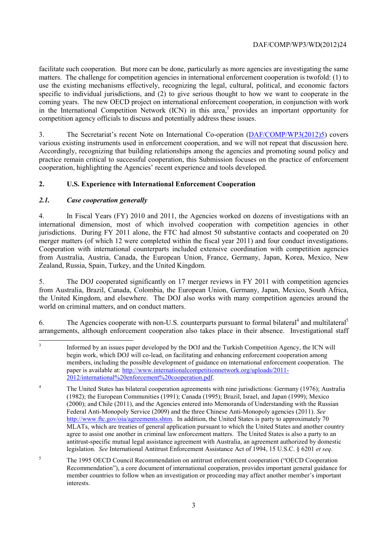facilitate such cooperation. But more can be done, particularly as more agencies are investigating the same matters. The challenge for competition agencies in international enforcement cooperation is twofold: (1) to use the existing mechanisms effectively, recognizing the legal, cultural, political, and economic factors specific to individual jurisdictions, and (2) to give serious thought to how we want to cooperate in the coming years. The new OECD project on international enforcement cooperation, in conjunction with work in the International Competition Network (ICN) in this area,<sup>3</sup> provides an important opportunity for competition agency officials to discuss and potentially address these issues.

various existing instruments used in enforcement cooperation, and we will not repeat that discussion here. cooperation, highlighting the Agencies' recent experience and tools developed. 3. The Secretariat's recent Note on International Co-operation (DAF/COMP/WP3(2012)5) covers Accordingly, recognizing that building relationships among the agencies and promoting sound policy and practice remain critical to successful cooperation, this Submission focuses on the practice of enforcement

# **2. U.S. Experience with International Enforcement Cooperation**

# *2.1. Case cooperation generally*

merger matters (of which 12 were completed within the fiscal year 2011) and four conduct investigations. 4. In Fiscal Years (FY) 2010 and 2011, the Agencies worked on dozens of investigations with an international dimension, most of which involved cooperation with competition agencies in other jurisdictions. During FY 2011 alone, the FTC had almost 50 substantive contacts and cooperated on 20 Cooperation with international counterparts included extensive coordination with competition agencies from Australia, Austria, Canada, the European Union, France, Germany, Japan, Korea, Mexico, New Zealand, Russia, Spain, Turkey, and the United Kingdom.

 the United Kingdom, and elsewhere. The DOJ also works with many competition agencies around the 5. The DOJ cooperated significantly on 17 merger reviews in FY 2011 with competition agencies from Australia, Brazil, Canada, Colombia, the European Union, Germany, Japan, Mexico, South Africa, world on criminal matters, and on conduct matters.

6. The Agencies cooperate with non-U.S. counterparts pursuant to formal bilateral<sup>4</sup> and multilateral<sup>5</sup> arrangements, although enforcement cooperation also takes place in their absence. Investigational staff

 $\overline{a}$  members, including the possible development of guidance on international enforcement cooperation. The 3 Informed by an issues paper developed by the DOJ and the Turkish Competition Agency, the ICN will begin work, which DOJ will co-lead, on facilitating and enhancing enforcement cooperation among paper is available at: http://www.internationalcompetitionnetwork.org/uploads/2011- 2012/international%20enforcement%20cooperation.pdf.

 legislation. *See* International Antitrust Enforcement Assistance Act of 1994, 15 U.S.C. § 6201 *et seq*. <sup>4</sup> The United States has bilateral cooperation agreements with nine jurisdictions: Germany (1976); Australia (1982); the European Communities (1991); Canada (1995); Brazil, Israel, and Japan (1999); Mexico (2000); and Chile (2011), and the Agencies entered into Memoranda of Understanding with the Russian Federal Anti-Monopoly Service (2009) and the three Chinese Anti-Monopoly agencies (2011). *See*  http://www.ftc.gov/oia/agreements.shtm. In addition, the United States is party to approximately 70 MLATs, which are treaties of general application pursuant to which the United States and another country agree to assist one another in criminal law enforcement matters. The United States is also a party to an antitrust-specific mutual legal assistance agreement with Australia, an agreement authorized by domestic

 member countries to follow when an investigation or proceeding may affect another member's important <sup>5</sup> The 1995 OECD Council Recommendation on antitrust enforcement cooperation ("OECD Cooperation") Recommendation"), a core document of international cooperation, provides important general guidance for interests.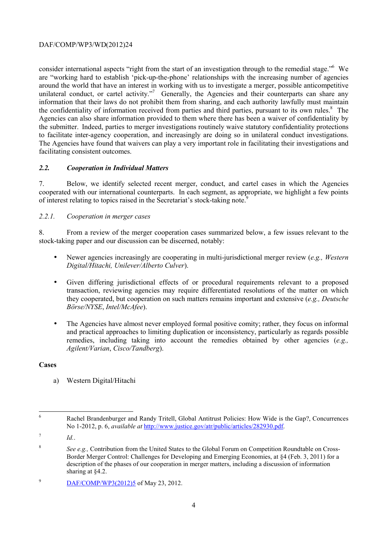the submitter. Indeed, parties to merger investigations routinely waive statutory confidentiality protections to facilitate inter-agency cooperation, and increasingly are doing so in unilateral conduct investigations. consider international aspects "right from the start of an investigation through to the remedial stage."6 We are "working hard to establish 'pick-up-the-phone' relationships with the increasing number of agencies around the world that have an interest in working with us to investigate a merger, possible anticompetitive unilateral conduct, or cartel activity."<sup>7</sup> Generally, the Agencies and their counterparts can share any information that their laws do not prohibit them from sharing, and each authority lawfully must maintain the confidentiality of information received from parties and third parties, pursuant to its own rules.<sup>8</sup> The Agencies can also share information provided to them where there has been a waiver of confidentiality by The Agencies have found that waivers can play a very important role in facilitating their investigations and facilitating consistent outcomes.

# *2.2. Cooperation in Individual Matters*

7. Below, we identify selected recent merger, conduct, and cartel cases in which the Agencies cooperated with our international counterparts. In each segment, as appropriate, we highlight a few points of interest relating to topics raised in the Secretariat's stock-taking note.<sup>9</sup>

## *2.2.1. Cooperation in merger cases*

8. From a review of the merger cooperation cases summarized below, a few issues relevant to the stock-taking paper and our discussion can be discerned, notably:

- Newer agencies increasingly are cooperating in multi-jurisdictional merger review (*e.g., Western Digital/Hitachi, Unilever/Alberto Culver*).
- *Börse/NYSE*, *Intel/McAfee*). • Given differing jurisdictional effects of or procedural requirements relevant to a proposed transaction, reviewing agencies may require differentiated resolutions of the matter on which they cooperated, but cooperation on such matters remains important and extensive (*e.g., Deutsche*
- The Agencies have almost never employed formal positive comity; rather, they focus on informal and practical approaches to limiting duplication or inconsistency, particularly as regards possible remedies, including taking into account the remedies obtained by other agencies (*e.g., Agilent/Varian*, *Cisco/Tandberg*).

## **Cases**

a) Western Digital/Hitachi

<sup>7</sup>*Id.*.

 $\overline{a}$ 6 Rachel Brandenburger and Randy Tritell, Global Antitrust Policies: How Wide is the Gap?, Concurrences No 1-2012, p. 6, *available at* http://www.justice.gov/atr/public/articles/282930.pdf.

<sup>8</sup>*See e.g.,* Contribution from the United States to the Global Forum on Competition Roundtable on Cross-Border Merger Control: Challenges for Developing and Emerging Economies, at §4 (Feb. 3, 2011) for a description of the phases of our cooperation in merger matters, including a discussion of information sharing at §4.2.

<sup>&</sup>lt;sup>9</sup> DAF/COMP/WP3(2012)5 of May 23, 2012.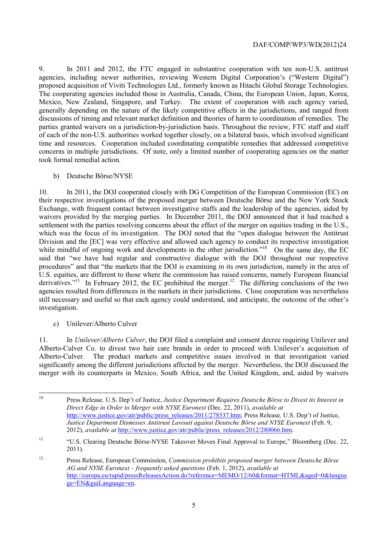proposed acquisition of Viviti Technologies Ltd., formerly known as Hitachi Global Storage Technologies. The cooperating agencies included those in Australia, Canada, China, the European Union, Japan, Korea, discussions of timing and relevant market definition and theories of harm to coordination of remedies. The took formal remedial action. 9. In 2011 and 2012, the FTC engaged in substantive cooperation with ten non-U.S. antitrust agencies, including newer authorities, reviewing Western Digital Corporation's ("Western Digital") Mexico, New Zealand, Singapore, and Turkey. The extent of cooperation with each agency varied, generally depending on the nature of the likely competitive effects in the jurisdictions, and ranged from parties granted waivers on a jurisdiction-by-jurisdiction basis. Throughout the review, FTC staff and staff of each of the non-U.S. authorities worked together closely, on a bilateral basis, which involved significant time and resources. Cooperation included coordinating compatible remedies that addressed competitive concerns in multiple jurisdictions. Of note, only a limited number of cooperating agencies on the matter

## b) Deutsche Börse/NYSE

10. In 2011, the DOJ cooperated closely with DG Competition of the European Commission (EC) on their respective investigations of the proposed merger between Deutsche Börse and the New York Stock Exchange, with frequent contact between investigative staffs and the leadership of the agencies, aided by waivers provided by the merging parties. In December 2011, the DOJ announced that it had reached a settlement with the parties resolving concerns about the effect of the merger on equities trading in the U.S., which was the focus of its investigation. The DOJ noted that the "open dialogue between the Antitrust" Division and the [EC] was very effective and allowed each agency to conduct its respective investigation while mindful of ongoing work and developments in the other jurisdiction."<sup>10</sup> On the same day, the EC said that "we have had regular and constructive dialogue with the DOJ throughout our respective procedures" and that "the markets that the DOJ is examining in its own jurisdiction, namely in the area of U.S. equities, are different to those where the commission has raised concerns, namely European financial derivatives."<sup>11</sup> In February 2012, the EC prohibited the merger.<sup>12</sup> The differing conclusions of the two agencies resulted from differences in the markets in their jurisdictions. Close cooperation was nevertheless still necessary and useful so that each agency could understand, and anticipate, the outcome of the other's investigation.

c) Unilever/Alberto Culver

11. In *Unilever/Alberto Culver*, the DOJ filed a complaint and consent decree requiring Unilever and Alberto-Culver Co. to divest two hair care brands in order to proceed with Unilever's acquisition of Alberto-Culver. The product markets and competitive issues involved in that investigation varied significantly among the different jurisdictions affected by the merger. Nevertheless, the DOJ discussed the merger with its counterparts in Mexico, South Africa, and the United Kingdom, and, aided by waivers

10 Press Release*,* U.S. Dep't of Justice, *Justice Department Requires Deutsche Börse to Divest its Interest in Direct Edge in Order to Merger with NYSE Euronext* (Dec. 22, 2011), *available at*  http://www.justice.gov/atr/public/press\_releases/2011/278537.htm; Press Release*,* U.S. Dep't of Justice, *Justice Department Dismisses Antitrust Lawsuit against Deutsche Börse and NYSE Euronext* (Feb. 9, 2012), *available at* http://www.justice.gov/atr/public/press\_releases/2012/280066.htm.

<sup>&</sup>lt;sup>11</sup> "U.S. Clearing Deutsche Börse-NYSE Takeover Moves Final Approval to Europe," Bloomberg (Dec. 22, 2011).

 $12$ 12 Press Release, European Commission, *Commission prohibits proposed merger between Deutsche Börse AG and NYSE Euronext – frequently asked questions* (Feb. 1, 2012), *available at*  http://europa.eu/rapid/pressReleasesAction.do?reference=MEMO/12/60&format=HTML&aged=0&langua ge=EN&guiLanguage=en.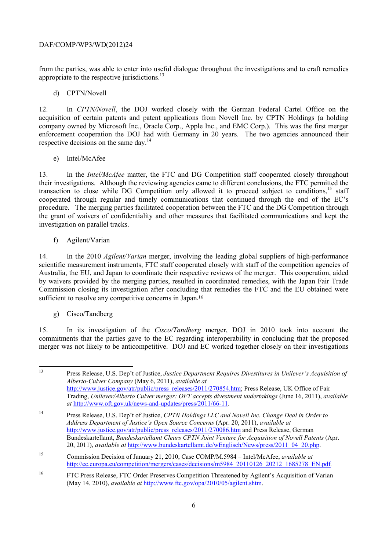appropriate to the respective jurisdictions.<sup>13</sup> from the parties, was able to enter into useful dialogue throughout the investigations and to craft remedies

## d) CPTN/Novell

respective decisions on the same day.<sup>14</sup> 12. In *CPTN/Novell*, the DOJ worked closely with the German Federal Cartel Office on the acquisition of certain patents and patent applications from Novell Inc. by CPTN Holdings (a holding company owned by Microsoft Inc., Oracle Corp., Apple Inc., and EMC Corp.). This was the first merger enforcement cooperation the DOJ had with Germany in 20 years. The two agencies announced their

## e) Intel/McAfee

transaction to close while DG Competition only allowed it to proceed subject to conditions,<sup>15</sup> staff 13. In the *Intel/McAfee* matter, the FTC and DG Competition staff cooperated closely throughout their investigations. Although the reviewing agencies came to different conclusions, the FTC permitted the cooperated through regular and timely communications that continued through the end of the EC's procedure. The merging parties facilitated cooperation between the FTC and the DG Competition through the grant of waivers of confidentiality and other measures that facilitated communications and kept the investigation on parallel tracks.

# f) Agilent/Varian

14. In the 2010 *Agilent/Varian* merger, involving the leading global suppliers of high-performance scientific measurement instruments, FTC staff cooperated closely with staff of the competition agencies of Australia, the EU, and Japan to coordinate their respective reviews of the merger. This cooperation, aided by waivers provided by the merging parties, resulted in coordinated remedies, with the Japan Fair Trade Commission closing its investigation after concluding that remedies the FTC and the EU obtained were sufficient to resolve any competitive concerns in Japan.<sup>16</sup>

# g) Cisco/Tandberg

15. In its investigation of the *Cisco/Tandberg* merger, DOJ in 2010 took into account the commitments that the parties gave to the EC regarding interoperability in concluding that the proposed merger was not likely to be anticompetitive. DOJ and EC worked together closely on their investigations

 13 Press Release, U.S. Dep't of Justice, *Justice Department Requires Divestitures in Unilever's Acquisition of Alberto-Culver Company* (May 6, 2011), *available at*  http://www.justice.gov/atr/public/press\_releases/2011/270854.htm; Press Release, UK Office of Fair Trading, *Unilever/Alberto Culver merger: OFT accepts divestment undertakings* (June 16, 2011), *available at* http://www.oft.gov.uk/news-and-updates/press/2011/66-11.

<sup>14</sup> Press Release, U.S. Dep't of Justice, *CPTN Holdings LLC and Novell Inc. Change Deal in Order to Address Department of Justice's Open Source Concerns* (Apr. 20, 2011), *available at*  http://www.justice.gov/atr/public/press\_releases/2011/270086.htm and Press Release, German Bundeskartellamt, *Bundeskartellamt Clears CPTN Joint Venture for Acquisition of Novell Patents* (Apr. 20, 2011), *available at* http://www.bundeskartellamt.de/wEnglisch/News/press/2011\_04\_20.php.

<sup>15</sup> 15 Commission Decision of January 21, 2010, Case COMP/M.5984 – Intel/McAfee, *available at*  http://ec.europa.eu/competition/mergers/cases/decisions/m5984\_20110126\_20212\_1685278\_EN.pdf*.* 

<sup>&</sup>lt;sup>16</sup> FTC Press Release, FTC Order Preserves Competition Threatened by Agilent's Acquisition of Varian (May 14, 2010), *available at* http://www.ftc.gov/opa/2010/05/agilent.shtm.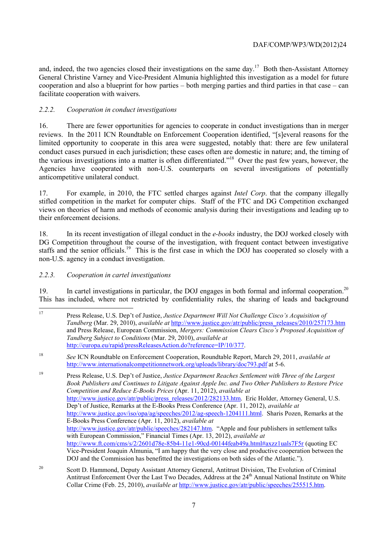and, indeed, the two agencies closed their investigations on the same day.<sup>17</sup> Both then-Assistant Attorney General Christine Varney and Vice-President Almunia highlighted this investigation as a model for future cooperation and also a blueprint for how parties – both merging parties and third parties in that case – can facilitate cooperation with waivers.

# *2.2.2. Cooperation in conduct investigations*

 16. There are fewer opportunities for agencies to cooperate in conduct investigations than in merger anticompetitive unilateral conduct. reviews. In the 2011 ICN Roundtable on Enforcement Cooperation identified, "[s]everal reasons for the limited opportunity to cooperate in this area were suggested, notably that: there are few unilateral conduct cases pursued in each jurisdiction; these cases often are domestic in nature; and, the timing of the various investigations into a matter is often differentiated."18 Over the past few years, however, the Agencies have cooperated with non-U.S. counterparts on several investigations of potentially

anticompetitive unilateral conduct.<br>17. For example, in 2010, the FTC settled charges against *Intel Corp*. that the company illegally their enforcement decisions. stifled competition in the market for computer chips. Staff of the FTC and DG Competition exchanged views on theories of harm and methods of economic analysis during their investigations and leading up to

staffs and the senior officials.<sup>19</sup> This is the first case in which the DOJ has cooperated so closely with a 18. In its recent investigation of illegal conduct in the *e-books* industry, the DOJ worked closely with DG Competition throughout the course of the investigation, with frequent contact between investigative non-U.S. agency in a conduct investigation.

## *2.2.3. Cooperation in cartel investigations*

19. In cartel investigations in particular, the DOJ engages in both formal and informal cooperation.<sup>20</sup> This has included, where not restricted by confidentiality rules, the sharing of leads and background

19 19 Press Release, U.S. Dep't of Justice, *Justice Department Reaches Settlement with Three of the Largest Book Publishers and Continues to Litigate Against Apple Inc. and Two Other Publishers to Restore Price Competition and Reduce E-Books Prices* (Apr. 11, 2012), *available at*  http://www.justice.gov/atr/public/press\_releases/2012/282133.htm. Eric Holder, Attorney General, U.S. Dep't of Justice, Remarks at the E-Books Press Conference (Apr. 11, 2012), *available at*  http://www.justice.gov/iso/opa/ag/speeches/2012/ag-speech-1204111.html. Sharis Pozen, Remarks at the E-Books Press Conference (Apr. 11, 2012), *available at*  http://www.justice.gov/atr/public/speeches/282147.htm. "Apple and four publishers in settlement talks with European Commission," Financial Times (Apr. 13, 2012), *available at*  http://www.ft.com/cms/s/2/2601d78e-85b4-11e1-90cd-00144feab49a.html#axzz1uals7F5r (quoting EC Vice-President Joaquin Almunia, "I am happy that the very close and productive cooperation between the DOJ and the Commission has benefitted the investigations on both sides of the Atlantic.").

 $\overline{a}$ 17 Press Release, U.S. Dep't of Justice, *Justice Department Will Not Challenge Cisco's Acquisition of Tandberg* (Mar. 29, 2010), *available at* http://www.justice.gov/atr/public/press\_releases/2010/257173.htm and Press Release, European Commission, *Mergers: Commission Clears Cisco's Proposed Acquisition of Tandberg Subject to Conditions* (Mar. 29, 2010), *available at*  http://europa.eu/rapid/pressReleasesAction.do?reference=IP/10/377.

<sup>18</sup>*See* ICN Roundtable on Enforcement Cooperation, Roundtable Report, March 29, 2011, *available at*  http://www.internationalcompetitionnetwork.org/uploads/library/doc793.pdf at 5-6.

 $20$ Scott D. Hammond, Deputy Assistant Attorney General, Antitrust Division, The Evolution of Criminal Antitrust Enforcement Over the Last Two Decades, Address at the 24<sup>th</sup> Annual National Institute on White Collar Crime (Feb. 25, 2010), *available at* http://www.justice.gov/atr/public/speeches/255515.htm.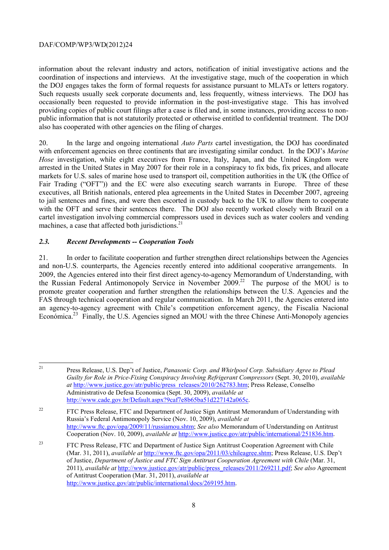the DOJ engages takes the form of formal requests for assistance pursuant to MLATs or letters rogatory. Such requests usually seek corporate documents and, less frequently, witness interviews. The DOJ has information about the relevant industry and actors, notification of initial investigative actions and the coordination of inspections and interviews. At the investigative stage, much of the cooperation in which occasionally been requested to provide information in the post-investigative stage. This has involved providing copies of public court filings after a case is filed and, in some instances, providing access to nonpublic information that is not statutorily protected or otherwise entitled to confidential treatment. The DOJ also has cooperated with other agencies on the filing of charges.

 Fair Trading ("OFT")) and the EC were also executing search warrants in Europe. Three of these 20. In the large and ongoing international *Auto Parts* cartel investigation, the DOJ has coordinated with enforcement agencies on three continents that are investigating similar conduct. In the DOJ's *Marine Hose* investigation, while eight executives from France, Italy, Japan, and the United Kingdom were arrested in the United States in May 2007 for their role in a conspiracy to fix bids, fix prices, and allocate markets for U.S. sales of marine hose used to transport oil, competition authorities in the UK (the Office of executives, all British nationals, entered plea agreements in the United States in December 2007, agreeing to jail sentences and fines, and were then escorted in custody back to the UK to allow them to cooperate with the OFT and serve their sentences there. The DOJ also recently worked closely with Brazil on a cartel investigation involving commercial compressors used in devices such as water coolers and vending machines, a case that affected both jurisdictions. $21$ 

# *2.3. Recent Developments -- Cooperation Tools*

Económica.<sup>23</sup> Finally, the U.S. Agencies signed an MOU with the three Chinese Anti-Monopoly agencies 21. In order to facilitate cooperation and further strengthen direct relationships between the Agencies and non-U.S. counterparts, the Agencies recently entered into additional cooperative arrangements. In 2009, the Agencies entered into their first direct agency-to-agency Memorandum of Understanding, with the Russian Federal Antimonopoly Service in November 2009. 22 The purpose of the MOU is to promote greater cooperation and further strengthen the relationships between the U.S. Agencies and the FAS through technical cooperation and regular communication. In March 2011, the Agencies entered into an agency-to-agency agreement with Chile's competition enforcement agency, the Fiscalía Nacional

 $\overline{a}$ 

<sup>21</sup> Press Release, U.S. Dep't of Justice, *Panasonic Corp. and Whirlpool Corp. Subsidiary Agree to Plead Guilty for Role in Price-Fixing Conspiracy Involving Refrigerant Compressors* (Sept. 30, 2010), *available at* http://www.justice.gov/atr/public/press\_releases/2010/262783.htm; Press Release, Conselho Administrativo de Defesa Economica (Sept. 30, 2009), *available at*  http://www.cade.gov.br/Default.aspx?9caf7e8b65ba51d227142a065c.

 $22$  http://www.ftc.gov/opa/2009/11/russiamou.shtm; *See also* Memorandum of Understanding on Antitrust 22 FTC Press Release, FTC and Department of Justice Sign Antitrust Memorandum of Understanding with Russia's Federal Antimonopoly Service (Nov. 10, 2009), *available at*  Cooperation (Nov. 10, 2009), *available at* http://www.justice.gov/atr/public/international/251836.htm.

<sup>&</sup>lt;sup>23</sup> FTC Press Release, FTC and Department of Justice Sign Antitrust Cooperation Agreement with Chile (Mar. 31, 2011), *available at* http://www.ftc.gov/opa/2011/03/chileagree.shtm; Press Release, U.S. Dep't of Justice, *Department of Justice and FTC Sign Antitrust Cooperation Agreement with Chile* (Mar. 31, 2011), *available at* http://www.justice.gov/atr/public/press\_releases/2011/269211.pdf; *See also* Agreement of Antitrust Cooperation (Mar. 31, 2011), *available at*  http://www.justice.gov/atr/public/international/docs/269195.htm.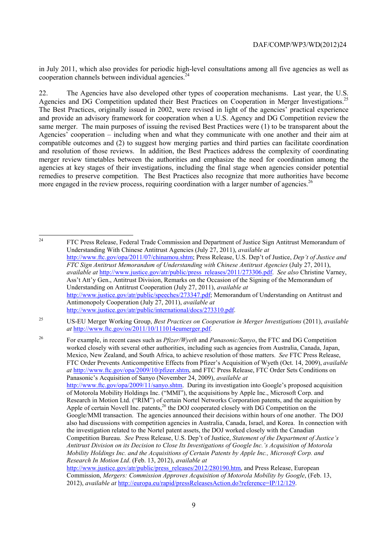cooperation channels between individual agencies. $24$ in July 2011, which also provides for periodic high-level consultations among all five agencies as well as

Agencies and DG Competition updated their Best Practices on Cooperation in Merger Investigations.<sup>25</sup> and provide an advisory framework for cooperation when a U.S. Agency and DG Competition review the more engaged in the review process, requiring coordination with a larger number of agencies.<sup>26</sup> 22. The Agencies have also developed other types of cooperation mechanisms. Last year, the U.S. The Best Practices, originally issued in 2002, were revised in light of the agencies' practical experience same merger. The main purposes of issuing the revised Best Practices were (1) to be transparent about the Agencies' cooperation – including when and what they communicate with one another and their aim at compatible outcomes and (2) to suggest how merging parties and third parties can facilitate coordination and resolution of those reviews. In addition, the Best Practices address the complexity of coordinating merger review timetables between the authorities and emphasize the need for coordination among the agencies at key stages of their investigations, including the final stage when agencies consider potential remedies to preserve competition. The Best Practices also recognize that more authorities have become

24 FTC Press Release, Federal Trade Commission and Department of Justice Sign Antitrust Memorandum of Understanding With Chinese Antitrust Agencies (July 27, 2011), *available at*  http://www.ftc.gov/opa/2011/07/chinamou.shtm; Press Release, U.S. Dep't of Justice, *Dep't of Justice and FTC Sign Antitrust Memorandum of Understanding with Chinese Antitrust Agencies* (July 27, 2011), *available at* http://www.justice.gov/atr/public/press\_releases/2011/273306.pdf. *See also* Christine Varney, Ass't Att'y Gen., Antitrust Division, Remarks on the Occasion of the Signing of the Memorandum of Understanding on Antitrust Cooperation (July 27, 2011), *available at*  http://www.justice.gov/atr/public/speeches/273347.pdf; Memorandum of Understanding on Antitrust and Antimonopoly Cooperation (July 27, 2011), *available at*  http://www.justice.gov/atr/public/international/docs/273310.pdf.

Apple of certain Novell Inc. patents,  $^{26}$  the DOJ cooperated closely with DG Competition on the Google/MMI transaction. The agencies announced their decisions within hours of one another. The DOJ also had discussions with competition agencies in Australia, Canada, Israel, and Korea. In connection with 26 For example, in recent cases such as *Pfizer/Wyeth* and *Panasonic/Sanyo*, the FTC and DG Competition worked closely with several other authorities, including such as agencies from Australia, Canada, Japan, Mexico, New Zealand, and South Africa, to achieve resolution of those matters. *See* FTC Press Release, FTC Order Prevents Anticompetitive Effects from Pfizer's Acquisition of Wyeth (Oct. 14, 2009), *available at* http://www.ftc.gov/opa/2009/10/pfizer.shtm, and FTC Press Release, FTC Order Sets Conditions on Panasonic's Acquisition of Sanyo (November 24, 2009), *available at*  http://www.ftc.gov/opa/2009/11/sanyo.shtm. During its investigation into Google's proposed acquisition of Motorola Mobility Holdings Inc. ("MMI"), the acquisitions by Apple Inc., Microsoft Corp. and Research in Motion Ltd. ("RIM") of certain Nortel Networks Corporation patents, and the acquisition by the investigation related to the Nortel patent assets, the DOJ worked closely with the Canadian Competition Bureau. *See* Press Release, U.S. Dep't of Justice, *Statement of the Department of Justice's Antitrust Division on its Decision to Close Its Investigations of Google Inc.'s Acquisition of Motorola Mobility Holdings Inc. and the Acquisitions of Certain Patents by Apple Inc., Microsoft Corp. and Research In Motion Ltd*. (Feb. 13, 2012), *available at*  http://www.justice.gov/atr/public/press\_releases/2012/280190.htm, and Press Release, European

<sup>25</sup> 25 US-EU Merger Working Group, *Best Practices on Cooperation in Merger Investigations* (2011), *available at* http://www.ftc.gov/os/2011/10/111014eumerger.pdf.

Commission, *Mergers: Commission Approves Acquisition of Motorola Mobility by Google*, (Feb. 13, 2012), *available at* http://europa.eu/rapid/pressReleasesAction.do?reference=IP/12/129.